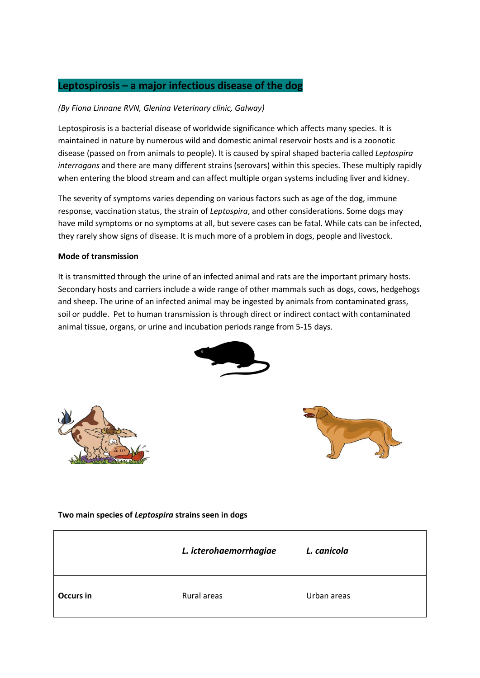# **Leptospirosis – a major infectious disease of the dog**

### *(By Fiona Linnane RVN, Glenina Veterinary clinic, Galway)*

Leptospirosis is a bacterial disease of worldwide significance which affects many species. It is maintained in nature by numerous wild and domestic animal reservoir hosts and is a zoonotic disease (passed on from animals to people). It is caused by spiral shaped bacteria called *Leptospira interrogans* and there are many different strains (serovars) within this species. These multiply rapidly when entering the blood stream and can affect multiple organ systems including liver and kidney.

The severity of symptoms varies depending on various factors such as age of the dog, immune response, vaccination status, the strain of *Leptospira*, and other considerations. Some dogs may have mild symptoms or no symptoms at all, but severe cases can be fatal. While cats can be infected, they rarely show signs of disease. It is much more of a problem in dogs, people and livestock.

### **Mode of transmission**

It is transmitted through the urine of an infected animal and rats are the important primary hosts. Secondary hosts and carriers include a wide range of other mammals such as dogs, cows, hedgehogs and sheep. The urine of an infected animal may be ingested by animals from contaminated grass, soil or puddle. Pet to human transmission is through direct or indirect contact with contaminated animal tissue, organs, or urine and incubation periods range from 5-15 days.







### **Two main species of** *Leptospira* **strains seen in dogs**

|                  | L. icterohaemorrhagiae | L. canicola |
|------------------|------------------------|-------------|
| <b>Occurs in</b> | Rural areas            | Urban areas |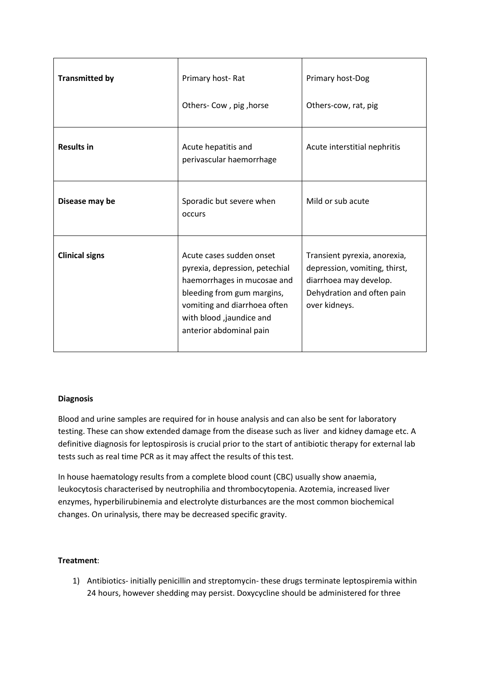| <b>Transmitted by</b> | Primary host-Rat                                                                                                                                                                                               | Primary host-Dog                                                                                                                       |
|-----------------------|----------------------------------------------------------------------------------------------------------------------------------------------------------------------------------------------------------------|----------------------------------------------------------------------------------------------------------------------------------------|
|                       | Others- Cow, pig, horse                                                                                                                                                                                        | Others-cow, rat, pig                                                                                                                   |
| <b>Results in</b>     | Acute hepatitis and<br>perivascular haemorrhage                                                                                                                                                                | Acute interstitial nephritis                                                                                                           |
| Disease may be        | Sporadic but severe when<br>occurs                                                                                                                                                                             | Mild or sub acute                                                                                                                      |
| <b>Clinical signs</b> | Acute cases sudden onset<br>pyrexia, depression, petechial<br>haemorrhages in mucosae and<br>bleeding from gum margins,<br>vomiting and diarrhoea often<br>with blood ,jaundice and<br>anterior abdominal pain | Transient pyrexia, anorexia,<br>depression, vomiting, thirst,<br>diarrhoea may develop.<br>Dehydration and often pain<br>over kidneys. |

### **Diagnosis**

Blood and urine samples are required for in house analysis and can also be sent for laboratory testing. These can show extended damage from the disease such as liver and kidney damage etc. A definitive diagnosis for leptospirosis is crucial prior to the start of antibiotic therapy for external lab tests such as real time PCR as it may affect the results of this test.

In house haematology results from a complete blood count (CBC) usually show anaemia, leukocytosis characterised by neutrophilia and thrombocytopenia. Azotemia, increased liver enzymes, hyperbilirubinemia and electrolyte disturbances are the most common biochemical changes. On urinalysis, there may be decreased specific gravity.

### **Treatment**:

1) Antibiotics- initially penicillin and streptomycin- these drugs terminate leptospiremia within 24 hours, however shedding may persist. Doxycycline should be administered for three